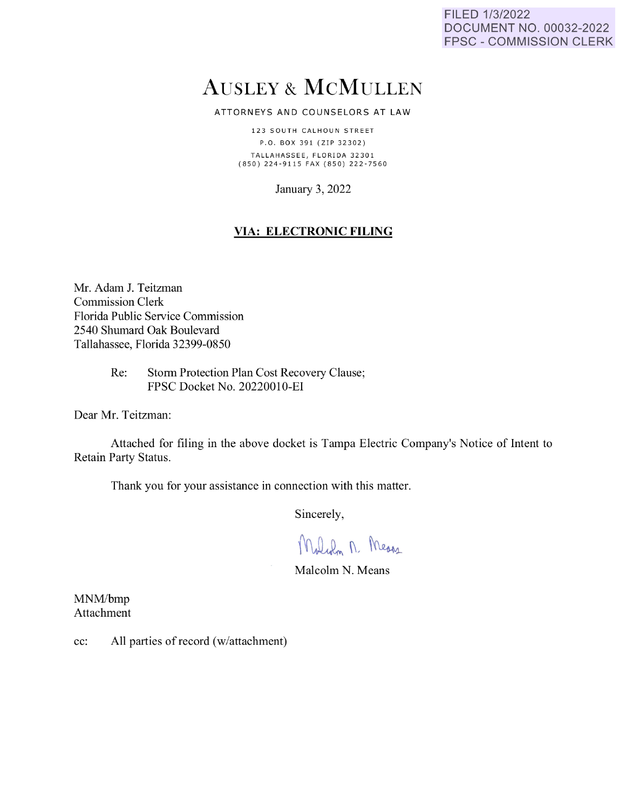FILED 1/3/2022 DOCUMENT NO. 00032-2022 FPSC - COMMISSION CLERK

# AUSLEY & McMULLEN

ATTORNEYS AND COUNSELORS AT LAW

123 SOUTH CALHOUN STREET P.O. BOX 391 (ZIP 32302) TALLAHASSEE, FLORIDA 32301 {850) 224 - 9 11 5 FAX (850) 222 - 7560

January 3, 2022

## **VIA: ELECTRONIC FILING**

Mr. Adam J. Teitzman Commission Clerk Florida Public Service Commission 2540 Shumard Oak Boulevard Tallahassee, Florida 32399-0850

> Re: Storm Protection Plan Cost Recovery Clause; FPSC Docket No. 20220010-EI

Dear Mr. Teitzman:

Attached for filing in the above docket is Tampa Electric Company's Notice of Intent to Retain Party Status.

Thank you for your assistance **in** connection with this matter.

Sincerely,

Moliam M. Means

Malcolm N. Means

MNM/bmp Attachment

cc: All parties of record (w/attachment)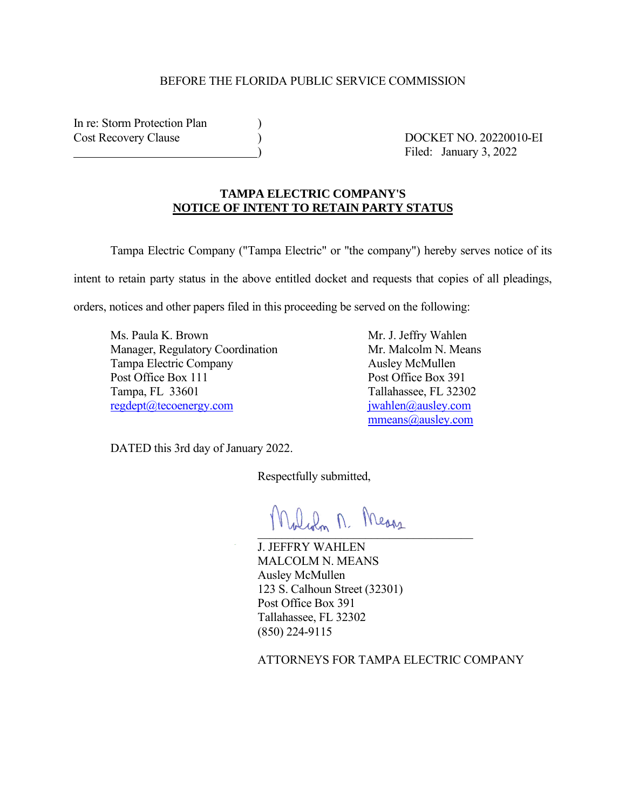#### BEFORE THE FLORIDA PUBLIC SERVICE COMMISSION

In re: Storm Protection Plan Cost Recovery Clause ) DOCKET NO. 20220010-EI

) Filed: January 3, 2022

### **TAMPA ELECTRIC COMPANY'S NOTICE OF INTENT TO RETAIN PARTY STATUS**

Tampa Electric Company ("Tampa Electric" or "the company") hereby serves notice of its intent to retain party status in the above entitled docket and requests that copies of all pleadings,

orders, notices and other papers filed in this proceeding be served on the following:

Ms. Paula K. Brown Mr. J. Jeffry Wahlen Manager, Regulatory Coordination Mr. Malcolm N. Means Tampa Electric Company **Ausley McMullen** Post Office Box 111 Post Office Box 391 Tampa, FL 33601 Tallahassee, FL 32302 [regdept@tecoenergy.com](mailto:regdept@tecoenergy.com) [jwahlen@ausley.com](mailto:jwahlen@ausley.com)

[mmeans@ausley.com](mailto:mmeans@ausley.com)

DATED this 3rd day of January 2022.

Respectfully submitted,

Malian n. Means

J. JEFFRY WAHLEN MALCOLM N. MEANS Ausley McMullen 123 S. Calhoun Street (32301) Post Office Box 391 Tallahassee, FL 32302 (850) 224-9115

ATTORNEYS FOR TAMPA ELECTRIC COMPANY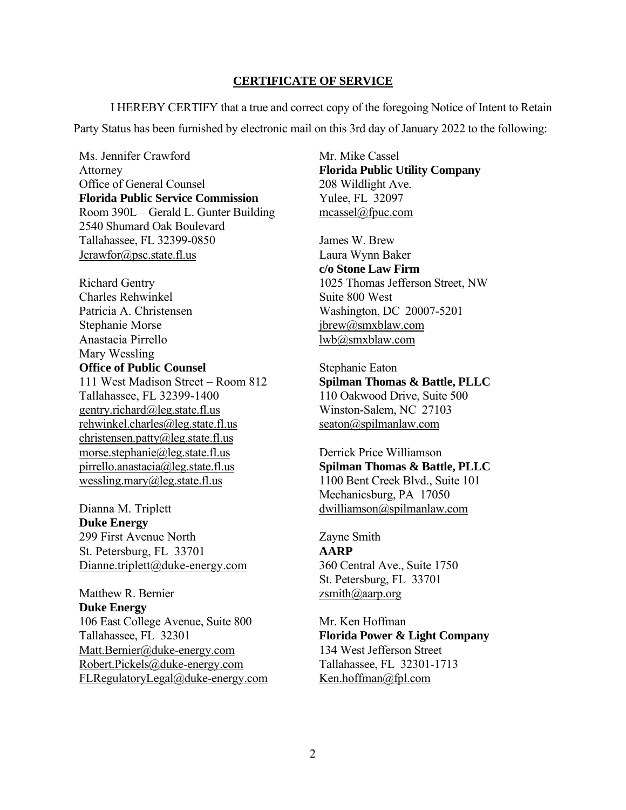#### **CERTIFICATE OF SERVICE**

I HEREBY CERTIFY that a true and correct copy of the foregoing Notice of Intent to Retain Party Status has been furnished by electronic mail on this 3rd day of January 2022 to the following:

Ms. Jennifer Crawford Attorney Office of General Counsel **Florida Public Service Commission** Room 390L – Gerald L. Gunter Building 2540 Shumard Oak Boulevard Tallahassee, FL 32399-0850 Jcrawfor@psc.state.fl.us

Richard Gentry Charles Rehwinkel Patricia A. Christensen Stephanie Morse Anastacia Pirrello Mary Wessling **Office of Public Counsel** 111 West Madison Street – Room 812 Tallahassee, FL 32399-1400 gentry.richard@leg.state.fl.us rehwinkel.charles@leg.state.fl.us christensen.patty@leg.state.fl.us morse.stephanie@leg.state.fl.us pirrello.anastacia@leg.state.fl.us wessling.mary@leg.state.fl.us

Dianna M. Triplett **Duke Energy** 299 First Avenue North St. Petersburg, FL 33701 Dianne.triplett@duke-energy.com

Matthew R. Bernier **Duke Energy** 106 East College Avenue, Suite 800 Tallahassee, FL 32301 Matt.Bernier@duke-energy.com Robert.Pickels@duke-energy.com FLRegulatoryLegal@duke-energy.com Mr. Mike Cassel **Florida Public Utility Company** 208 Wildlight Ave. Yulee, FL 32097 mcassel@fpuc.com

James W. Brew Laura Wynn Baker **c/o Stone Law Firm** 1025 Thomas Jefferson Street, NW Suite 800 West Washington, DC 20007-5201 jbrew@smxblaw.com lwb@smxblaw.com

Stephanie Eaton **Spilman Thomas & Battle, PLLC** 110 Oakwood Drive, Suite 500 Winston-Salem, NC 27103 seaton@spilmanlaw.com

Derrick Price Williamson **Spilman Thomas & Battle, PLLC** 1100 Bent Creek Blvd., Suite 101 Mechanicsburg, PA 17050 dwilliamson@spilmanlaw.com

Zayne Smith **AARP** 360 Central Ave., Suite 1750 St. Petersburg, FL 33701 zsmith@aarp.org

Mr. Ken Hoffman **Florida Power & Light Company** 134 West Jefferson Street Tallahassee, FL 32301-1713 Ken.hoffman@fpl.com